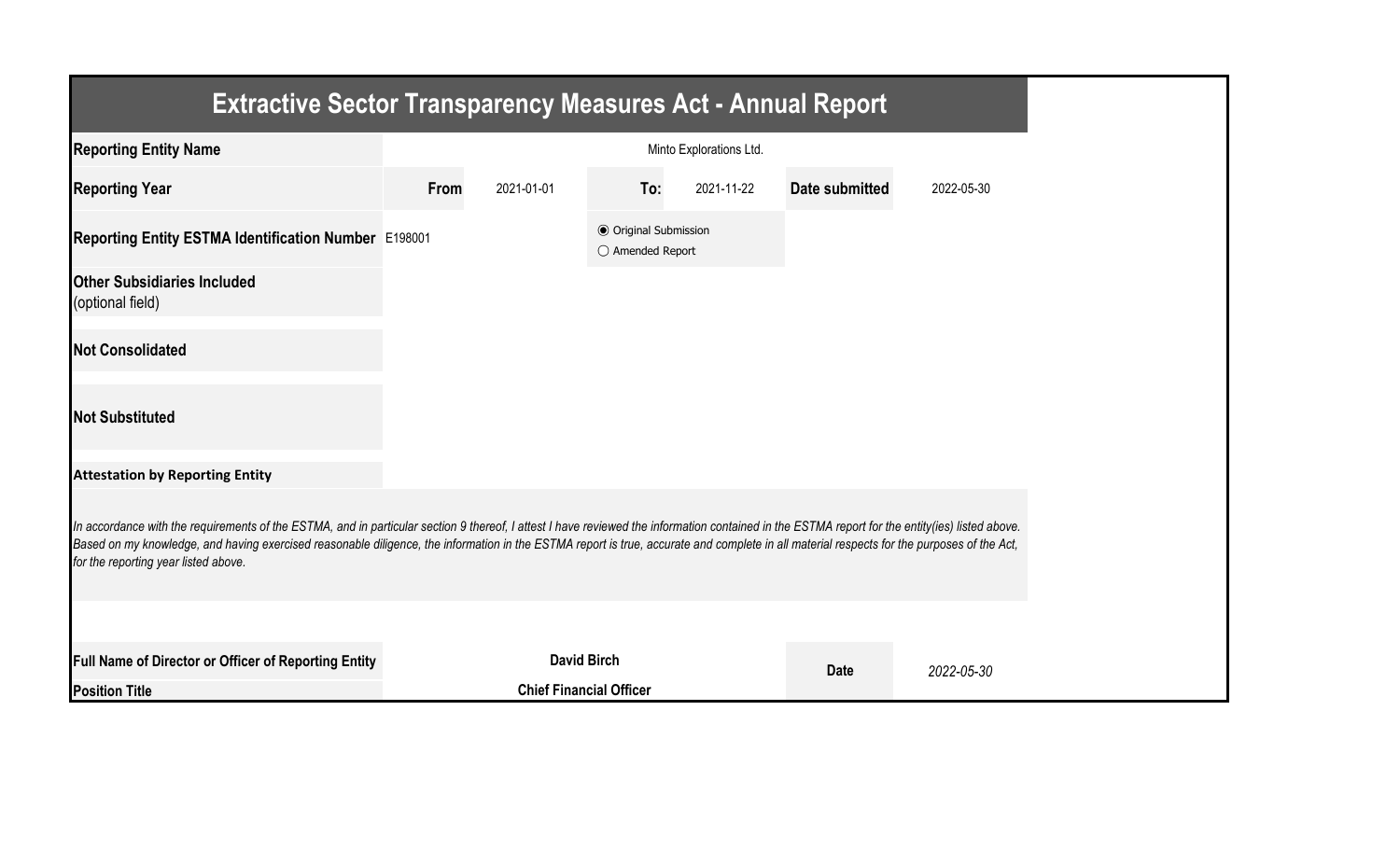| <b>Extractive Sector Transparency Measures Act - Annual Report</b>                                                                                                                                                                                                                                                                                                                                                                    |      |                                |                                                  |                         |                |            |  |  |
|---------------------------------------------------------------------------------------------------------------------------------------------------------------------------------------------------------------------------------------------------------------------------------------------------------------------------------------------------------------------------------------------------------------------------------------|------|--------------------------------|--------------------------------------------------|-------------------------|----------------|------------|--|--|
| <b>Reporting Entity Name</b>                                                                                                                                                                                                                                                                                                                                                                                                          |      |                                |                                                  | Minto Explorations Ltd. |                |            |  |  |
| <b>Reporting Year</b>                                                                                                                                                                                                                                                                                                                                                                                                                 | From | 2021-01-01                     | To:                                              | 2021-11-22              | Date submitted | 2022-05-30 |  |  |
| Reporting Entity ESTMA Identification Number E198001                                                                                                                                                                                                                                                                                                                                                                                  |      |                                | <b>◎ Original Submission</b><br>○ Amended Report |                         |                |            |  |  |
| <b>Other Subsidiaries Included</b><br>(optional field)                                                                                                                                                                                                                                                                                                                                                                                |      |                                |                                                  |                         |                |            |  |  |
| <b>Not Consolidated</b>                                                                                                                                                                                                                                                                                                                                                                                                               |      |                                |                                                  |                         |                |            |  |  |
| <b>Not Substituted</b>                                                                                                                                                                                                                                                                                                                                                                                                                |      |                                |                                                  |                         |                |            |  |  |
| <b>Attestation by Reporting Entity</b>                                                                                                                                                                                                                                                                                                                                                                                                |      |                                |                                                  |                         |                |            |  |  |
| In accordance with the requirements of the ESTMA, and in particular section 9 thereof, I attest I have reviewed the information contained in the ESTMA report for the entity(ies) listed above.<br>Based on my knowledge, and having exercised reasonable diligence, the information in the ESTMA report is true, accurate and complete in all material respects for the purposes of the Act,<br>for the reporting year listed above. |      |                                |                                                  |                         |                |            |  |  |
|                                                                                                                                                                                                                                                                                                                                                                                                                                       |      |                                |                                                  |                         |                |            |  |  |
| Full Name of Director or Officer of Reporting Entity                                                                                                                                                                                                                                                                                                                                                                                  |      | <b>David Birch</b>             |                                                  |                         | <b>Date</b>    | 2022-05-30 |  |  |
| <b>Position Title</b>                                                                                                                                                                                                                                                                                                                                                                                                                 |      | <b>Chief Financial Officer</b> |                                                  |                         |                |            |  |  |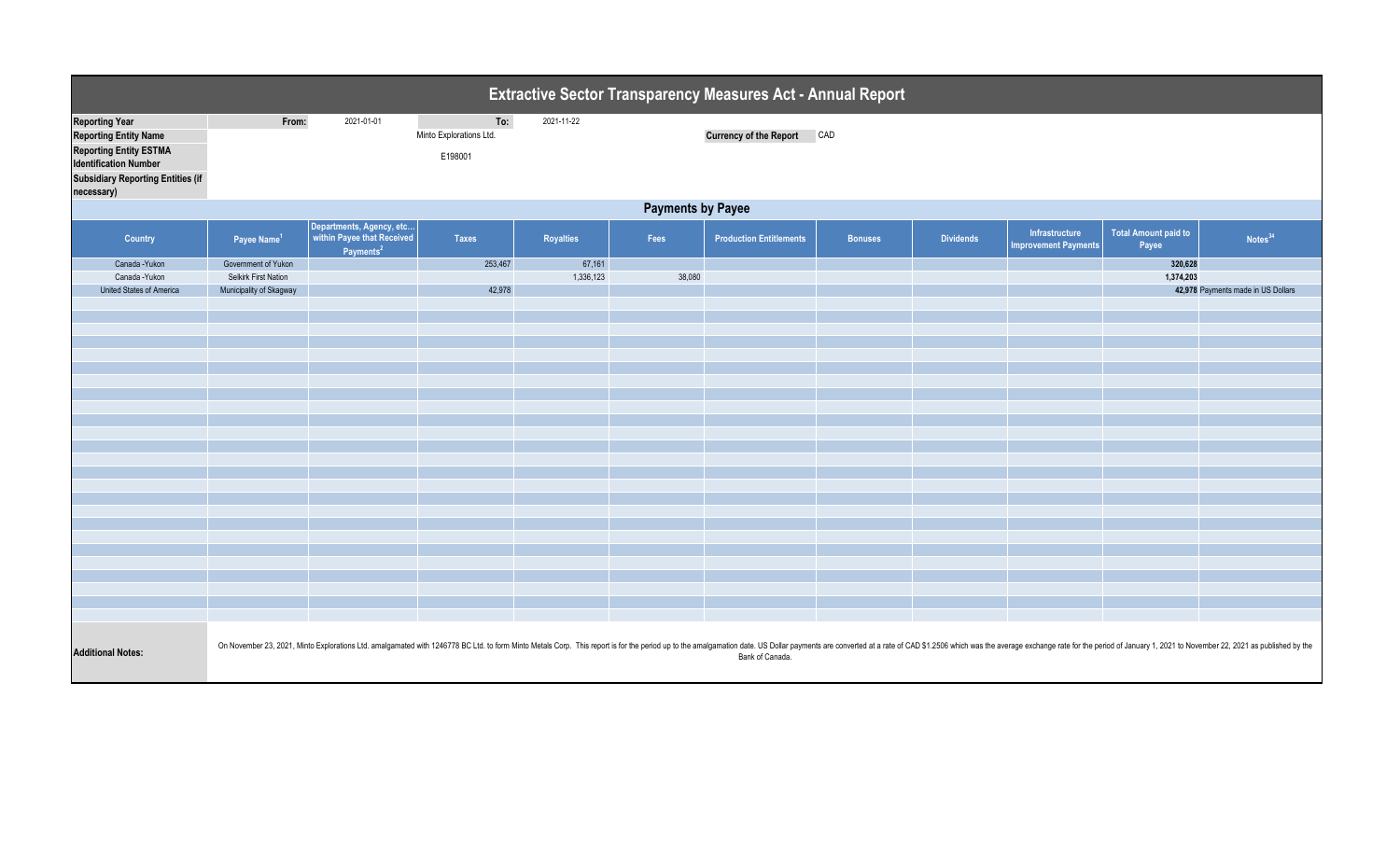| <b>Extractive Sector Transparency Measures Act - Annual Report</b>                                                                                                               |                          |                                                                                 |                                           |                  |        |                                |                |                  |                                               |                                      |                                                                                                                                                                                                                                 |  |
|----------------------------------------------------------------------------------------------------------------------------------------------------------------------------------|--------------------------|---------------------------------------------------------------------------------|-------------------------------------------|------------------|--------|--------------------------------|----------------|------------------|-----------------------------------------------|--------------------------------------|---------------------------------------------------------------------------------------------------------------------------------------------------------------------------------------------------------------------------------|--|
| <b>Reporting Year</b><br><b>Reporting Entity Name</b><br><b>Reporting Entity ESTMA</b><br><b>Identification Number</b><br><b>Subsidiary Reporting Entities (if</b><br>necessary) | From:                    | 2021-01-01                                                                      | To:<br>Minto Explorations Ltd.<br>E198001 | 2021-11-22       |        | Currency of the Report CAD     |                |                  |                                               |                                      |                                                                                                                                                                                                                                 |  |
|                                                                                                                                                                                  | <b>Payments by Payee</b> |                                                                                 |                                           |                  |        |                                |                |                  |                                               |                                      |                                                                                                                                                                                                                                 |  |
| Country                                                                                                                                                                          | Payee Name <sup>1</sup>  | Departments, Agency, etc<br>within Payee that Received<br>Payments <sup>2</sup> | <b>Taxes</b>                              | <b>Royalties</b> | Fees   | <b>Production Entitlements</b> | <b>Bonuses</b> | <b>Dividends</b> | Infrastructure<br><b>Improvement Payments</b> | <b>Total Amount paid to</b><br>Payee | Notes <sup>34</sup>                                                                                                                                                                                                             |  |
| Canada - Yukon                                                                                                                                                                   | Government of Yukon      |                                                                                 | 253,467                                   | 67,161           |        |                                |                |                  |                                               | 320,628                              |                                                                                                                                                                                                                                 |  |
| Canada - Yukon                                                                                                                                                                   | Selkirk First Nation     |                                                                                 |                                           | 1,336,123        | 38,080 |                                |                |                  |                                               | 1,374,203                            |                                                                                                                                                                                                                                 |  |
| United States of America                                                                                                                                                         | Municipality of Skagway  |                                                                                 | 42,978                                    |                  |        |                                |                |                  |                                               |                                      | 42,978 Payments made in US Dollars                                                                                                                                                                                              |  |
|                                                                                                                                                                                  |                          |                                                                                 |                                           |                  |        |                                |                |                  |                                               |                                      |                                                                                                                                                                                                                                 |  |
|                                                                                                                                                                                  |                          |                                                                                 |                                           |                  |        |                                |                |                  |                                               |                                      |                                                                                                                                                                                                                                 |  |
|                                                                                                                                                                                  |                          |                                                                                 |                                           |                  |        |                                |                |                  |                                               |                                      |                                                                                                                                                                                                                                 |  |
|                                                                                                                                                                                  |                          |                                                                                 |                                           |                  |        |                                |                |                  |                                               |                                      |                                                                                                                                                                                                                                 |  |
|                                                                                                                                                                                  |                          |                                                                                 |                                           |                  |        |                                |                |                  |                                               |                                      |                                                                                                                                                                                                                                 |  |
|                                                                                                                                                                                  |                          |                                                                                 |                                           |                  |        |                                |                |                  |                                               |                                      |                                                                                                                                                                                                                                 |  |
|                                                                                                                                                                                  |                          |                                                                                 |                                           |                  |        |                                |                |                  |                                               |                                      |                                                                                                                                                                                                                                 |  |
|                                                                                                                                                                                  |                          |                                                                                 |                                           |                  |        |                                |                |                  |                                               |                                      |                                                                                                                                                                                                                                 |  |
|                                                                                                                                                                                  |                          |                                                                                 |                                           |                  |        |                                |                |                  |                                               |                                      |                                                                                                                                                                                                                                 |  |
|                                                                                                                                                                                  |                          |                                                                                 |                                           |                  |        |                                |                |                  |                                               |                                      |                                                                                                                                                                                                                                 |  |
|                                                                                                                                                                                  |                          |                                                                                 |                                           |                  |        |                                |                |                  |                                               |                                      |                                                                                                                                                                                                                                 |  |
|                                                                                                                                                                                  |                          |                                                                                 |                                           |                  |        |                                |                |                  |                                               |                                      |                                                                                                                                                                                                                                 |  |
|                                                                                                                                                                                  |                          |                                                                                 |                                           |                  |        |                                |                |                  |                                               |                                      |                                                                                                                                                                                                                                 |  |
|                                                                                                                                                                                  |                          |                                                                                 |                                           |                  |        |                                |                |                  |                                               |                                      |                                                                                                                                                                                                                                 |  |
|                                                                                                                                                                                  |                          |                                                                                 |                                           |                  |        |                                |                |                  |                                               |                                      |                                                                                                                                                                                                                                 |  |
|                                                                                                                                                                                  |                          |                                                                                 |                                           |                  |        |                                |                |                  |                                               |                                      |                                                                                                                                                                                                                                 |  |
|                                                                                                                                                                                  |                          |                                                                                 |                                           |                  |        |                                |                |                  |                                               |                                      |                                                                                                                                                                                                                                 |  |
|                                                                                                                                                                                  |                          |                                                                                 |                                           |                  |        |                                |                |                  |                                               |                                      |                                                                                                                                                                                                                                 |  |
|                                                                                                                                                                                  |                          |                                                                                 |                                           |                  |        |                                |                |                  |                                               |                                      |                                                                                                                                                                                                                                 |  |
|                                                                                                                                                                                  |                          |                                                                                 |                                           |                  |        |                                |                |                  |                                               |                                      |                                                                                                                                                                                                                                 |  |
|                                                                                                                                                                                  |                          |                                                                                 |                                           |                  |        |                                |                |                  |                                               |                                      |                                                                                                                                                                                                                                 |  |
|                                                                                                                                                                                  |                          |                                                                                 |                                           |                  |        |                                |                |                  |                                               |                                      |                                                                                                                                                                                                                                 |  |
|                                                                                                                                                                                  |                          |                                                                                 |                                           |                  |        |                                |                |                  |                                               |                                      |                                                                                                                                                                                                                                 |  |
| <b>Additional Notes:</b>                                                                                                                                                         |                          |                                                                                 |                                           |                  |        | Bank of Canada.                |                |                  |                                               |                                      | On November 23, 2021, Minto Explorations Ltd. amalgamated with 1246778 BC Ltd. to form Minto Metals Corp. This report is for the period up to the amalgamation date. US Dollar payments are converted at a rate of CAD \$1.2506 |  |